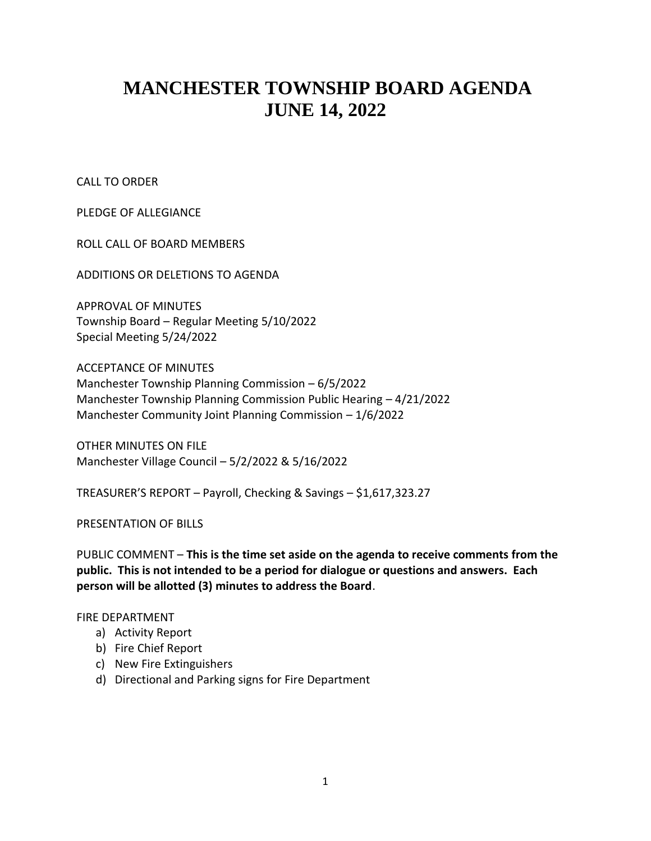# **MANCHESTER TOWNSHIP BOARD AGENDA JUNE 14, 2022**

CALL TO ORDER

PLEDGE OF ALLEGIANCE

ROLL CALL OF BOARD MEMBERS

ADDITIONS OR DELETIONS TO AGENDA

APPROVAL OF MINUTES Township Board – Regular Meeting 5/10/2022 Special Meeting 5/24/2022

ACCEPTANCE OF MINUTES Manchester Township Planning Commission – 6/5/2022 Manchester Township Planning Commission Public Hearing – 4/21/2022 Manchester Community Joint Planning Commission – 1/6/2022

OTHER MINUTES ON FILE Manchester Village Council – 5/2/2022 & 5/16/2022

TREASURER'S REPORT – Payroll, Checking & Savings – \$1,617,323.27

PRESENTATION OF BILLS

PUBLIC COMMENT – **This is the time set aside on the agenda to receive comments from the public. This is not intended to be a period for dialogue or questions and answers. Each person will be allotted (3) minutes to address the Board**.

### FIRE DEPARTMENT

- a) Activity Report
- b) Fire Chief Report
- c) New Fire Extinguishers
- d) Directional and Parking signs for Fire Department